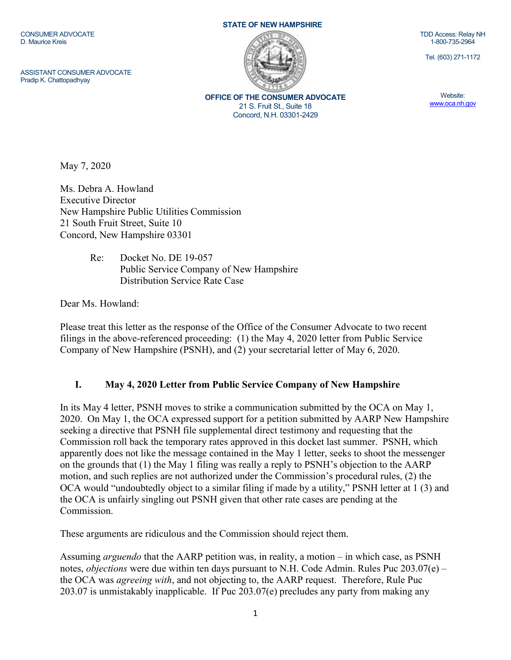CONSUMER ADVOCATE D. Maurice Kreis

ASSISTANT CONSUMER ADVOCATE Pradip K. Chattopadhyay

## STATE OF NEW HAMPSHIRE



OFFICE OF THE CONSUMER ADVOCATE 21 S. Fruit St., Suite 18 Concord, N.H. 03301-2429

TDD Access: Relay NH 1-800-735-2964

Tel. (603) 271-1172

Website: www.oca.nh.gov

May 7, 2020

Ms. Debra A. Howland Executive Director New Hampshire Public Utilities Commission 21 South Fruit Street, Suite 10 Concord, New Hampshire 03301

> Re: Docket No. DE 19-057 Public Service Company of New Hampshire Distribution Service Rate Case

Dear Ms. Howland:

Please treat this letter as the response of the Office of the Consumer Advocate to two recent filings in the above-referenced proceeding: (1) the May 4, 2020 letter from Public Service Company of New Hampshire (PSNH), and (2) your secretarial letter of May 6, 2020.

## I. May 4, 2020 Letter from Public Service Company of New Hampshire

In its May 4 letter, PSNH moves to strike a communication submitted by the OCA on May 1, 2020. On May 1, the OCA expressed support for a petition submitted by AARP New Hampshire seeking a directive that PSNH file supplemental direct testimony and requesting that the Commission roll back the temporary rates approved in this docket last summer. PSNH, which apparently does not like the message contained in the May 1 letter, seeks to shoot the messenger on the grounds that (1) the May 1 filing was really a reply to PSNH's objection to the AARP motion, and such replies are not authorized under the Commission's procedural rules, (2) the OCA would "undoubtedly object to a similar filing if made by a utility," PSNH letter at 1 (3) and the OCA is unfairly singling out PSNH given that other rate cases are pending at the Commission.

These arguments are ridiculous and the Commission should reject them.

Assuming arguendo that the AARP petition was, in reality, a motion – in which case, as PSNH notes, *objections* were due within ten days pursuant to N.H. Code Admin. Rules Puc  $203.07(e)$  – the OCA was agreeing with, and not objecting to, the AARP request. Therefore, Rule Puc 203.07 is unmistakably inapplicable. If Puc 203.07(e) precludes any party from making any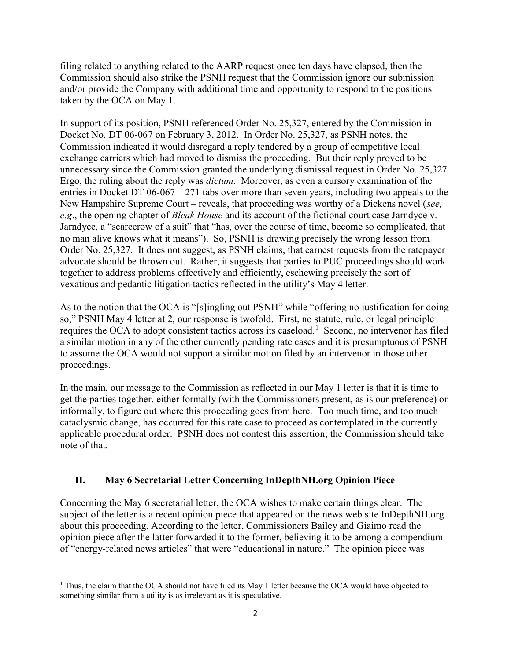filing related to anything related to the AARP request once ten days have elapsed, then the Commission should also strike the PSNH request that the Commission ignore our submission and/or provide the Company with additional time and opportunity to respond to the positions taken by the OCA on May 1.

In support of its position, PSNH referenced Order No. 25,327, entered by the Commission in Docket No. DT 06-067 on February 3, 2012. In Order No. 25,327, as PSNH notes, the Commission indicated it would disregard a reply tendered by a group of competitive local exchange carriers which had moved to dismiss the proceeding. But their reply proved to be unnecessary since the Commission granted the underlying dismissal request in Order No. 25,327. Ergo, the ruling about the reply was dictum. Moreover, as even a cursory examination of the entries in Docket DT 06-067 – 271 tabs over more than seven years, including two appeals to the New Hampshire Supreme Court – reveals, that proceeding was worthy of a Dickens novel (see, e.g., the opening chapter of *Bleak House* and its account of the fictional court case Jarndyce v. Jarndyce, a "scarecrow of a suit" that "has, over the course of time, become so complicated, that no man alive knows what it means"). So, PSNH is drawing precisely the wrong lesson from Order No. 25,327. It does not suggest, as PSNH claims, that earnest requests from the ratepayer advocate should be thrown out. Rather, it suggests that parties to PUC proceedings should work together to address problems effectively and efficiently, eschewing precisely the sort of vexatious and pedantic litigation tactics reflected in the utility's May 4 letter.

As to the notion that the OCA is "[s]ingling out PSNH" while "offering no justification for doing so," PSNH May 4 letter at 2, our response is twofold. First, no statute, rule, or legal principle requires the OCA to adopt consistent tactics across its caseload.<sup>1</sup> Second, no intervenor has filed a similar motion in any of the other currently pending rate cases and it is presumptuous of PSNH to assume the OCA would not support a similar motion filed by an intervenor in those other proceedings.

In the main, our message to the Commission as reflected in our May 1 letter is that it is time to get the parties together, either formally (with the Commissioners present, as is our preference) or informally, to figure out where this proceeding goes from here. Too much time, and too much cataclysmic change, has occurred for this rate case to proceed as contemplated in the currently applicable procedural order. PSNH does not contest this assertion; the Commission should take note of that.

## II. May 6 Secretarial Letter Concerning InDepthNH.org Opinion Piece

Concerning the May 6 secretarial letter, the OCA wishes to make certain things clear. The subject of the letter is a recent opinion piece that appeared on the news web site InDepthNH.org about this proceeding. According to the letter, Commissioners Bailey and Giaimo read the opinion piece after the latter forwarded it to the former, believing it to be among a compendium of "energy-related news articles" that were "educational in nature." The opinion piece was

 $\overline{a}$ <sup>1</sup> Thus, the claim that the OCA should not have filed its May 1 letter because the OCA would have objected to something similar from a utility is as irrelevant as it is speculative.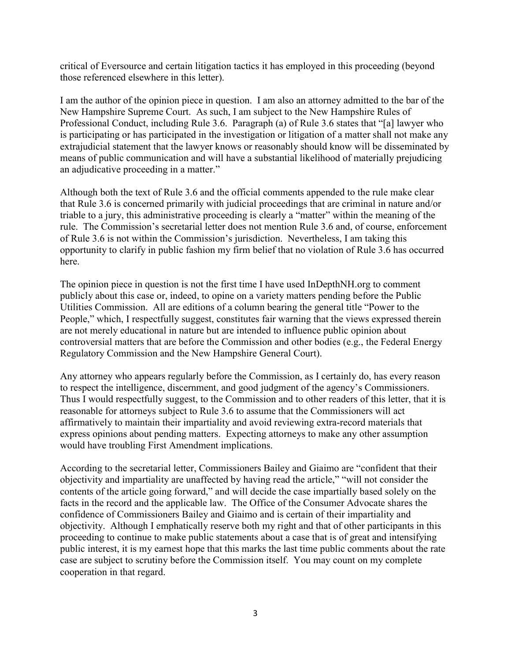critical of Eversource and certain litigation tactics it has employed in this proceeding (beyond those referenced elsewhere in this letter).

I am the author of the opinion piece in question. I am also an attorney admitted to the bar of the New Hampshire Supreme Court. As such, I am subject to the New Hampshire Rules of Professional Conduct, including Rule 3.6. Paragraph (a) of Rule 3.6 states that "[a] lawyer who is participating or has participated in the investigation or litigation of a matter shall not make any extrajudicial statement that the lawyer knows or reasonably should know will be disseminated by means of public communication and will have a substantial likelihood of materially prejudicing an adjudicative proceeding in a matter."

Although both the text of Rule 3.6 and the official comments appended to the rule make clear that Rule 3.6 is concerned primarily with judicial proceedings that are criminal in nature and/or triable to a jury, this administrative proceeding is clearly a "matter" within the meaning of the rule. The Commission's secretarial letter does not mention Rule 3.6 and, of course, enforcement of Rule 3.6 is not within the Commission's jurisdiction. Nevertheless, I am taking this opportunity to clarify in public fashion my firm belief that no violation of Rule 3.6 has occurred here.

The opinion piece in question is not the first time I have used InDepthNH.org to comment publicly about this case or, indeed, to opine on a variety matters pending before the Public Utilities Commission. All are editions of a column bearing the general title "Power to the People," which, I respectfully suggest, constitutes fair warning that the views expressed therein are not merely educational in nature but are intended to influence public opinion about controversial matters that are before the Commission and other bodies (e.g., the Federal Energy Regulatory Commission and the New Hampshire General Court).

Any attorney who appears regularly before the Commission, as I certainly do, has every reason to respect the intelligence, discernment, and good judgment of the agency's Commissioners. Thus I would respectfully suggest, to the Commission and to other readers of this letter, that it is reasonable for attorneys subject to Rule 3.6 to assume that the Commissioners will act affirmatively to maintain their impartiality and avoid reviewing extra-record materials that express opinions about pending matters. Expecting attorneys to make any other assumption would have troubling First Amendment implications.

According to the secretarial letter, Commissioners Bailey and Giaimo are "confident that their objectivity and impartiality are unaffected by having read the article," "will not consider the contents of the article going forward," and will decide the case impartially based solely on the facts in the record and the applicable law. The Office of the Consumer Advocate shares the confidence of Commissioners Bailey and Giaimo and is certain of their impartiality and objectivity. Although I emphatically reserve both my right and that of other participants in this proceeding to continue to make public statements about a case that is of great and intensifying public interest, it is my earnest hope that this marks the last time public comments about the rate case are subject to scrutiny before the Commission itself. You may count on my complete cooperation in that regard.